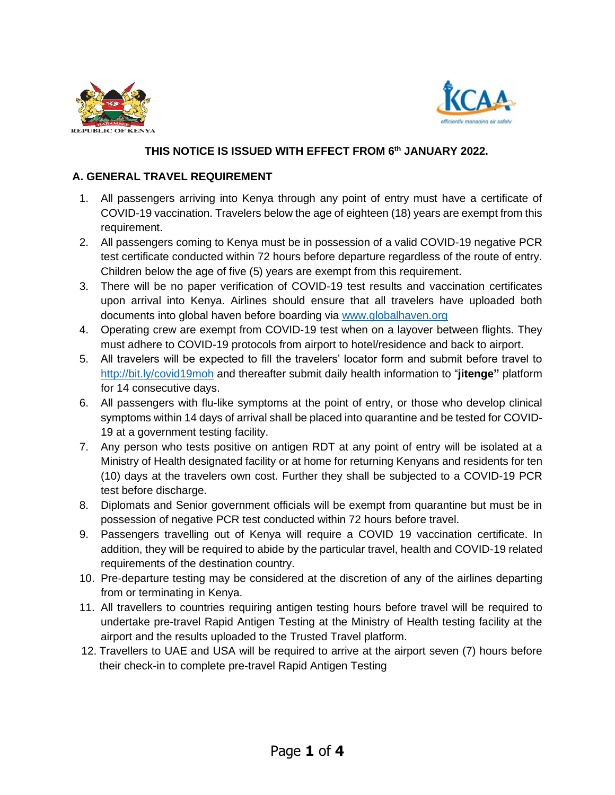



## **THIS NOTICE IS ISSUED WITH EFFECT FROM 6 th JANUARY 2022.**

## **A. GENERAL TRAVEL REQUIREMENT**

- 1. All passengers arriving into Kenya through any point of entry must have a certificate of COVID-19 vaccination. Travelers below the age of eighteen (18) years are exempt from this requirement.
- 2. All passengers coming to Kenya must be in possession of a valid COVID-19 negative PCR test certificate conducted within 72 hours before departure regardless of the route of entry. Children below the age of five (5) years are exempt from this requirement.
- 3. There will be no paper verification of COVID-19 test results and vaccination certificates upon arrival into Kenya. Airlines should ensure that all travelers have uploaded both documents into global haven before boarding via [www.globalhaven.org](http://www.globalhaven.org/)
- 4. Operating crew are exempt from COVID-19 test when on a layover between flights. They must adhere to COVID-19 protocols from airport to hotel/residence and back to airport.
- 5. All travelers will be expected to fill the travelers' locator form and submit before travel to <http://bit.ly/covid19moh> and thereafter submit daily health information to "**jitenge"** platform for 14 consecutive days.
- 6. All passengers with flu-like symptoms at the point of entry, or those who develop clinical symptoms within 14 days of arrival shall be placed into quarantine and be tested for COVID-19 at a government testing facility.
- 7. Any person who tests positive on antigen RDT at any point of entry will be isolated at a Ministry of Health designated facility or at home for returning Kenyans and residents for ten (10) days at the travelers own cost. Further they shall be subjected to a COVID-19 PCR test before discharge.
- 8. Diplomats and Senior government officials will be exempt from quarantine but must be in possession of negative PCR test conducted within 72 hours before travel.
- 9. Passengers travelling out of Kenya will require a COVID 19 vaccination certificate. In addition, they will be required to abide by the particular travel, health and COVID-19 related requirements of the destination country.
- 10. Pre-departure testing may be considered at the discretion of any of the airlines departing from or terminating in Kenya.
- 11. All travellers to countries requiring antigen testing hours before travel will be required to undertake pre-travel Rapid Antigen Testing at the Ministry of Health testing facility at the airport and the results uploaded to the Trusted Travel platform.
- 12. Travellers to UAE and USA will be required to arrive at the airport seven (7) hours before their check-in to complete pre-travel Rapid Antigen Testing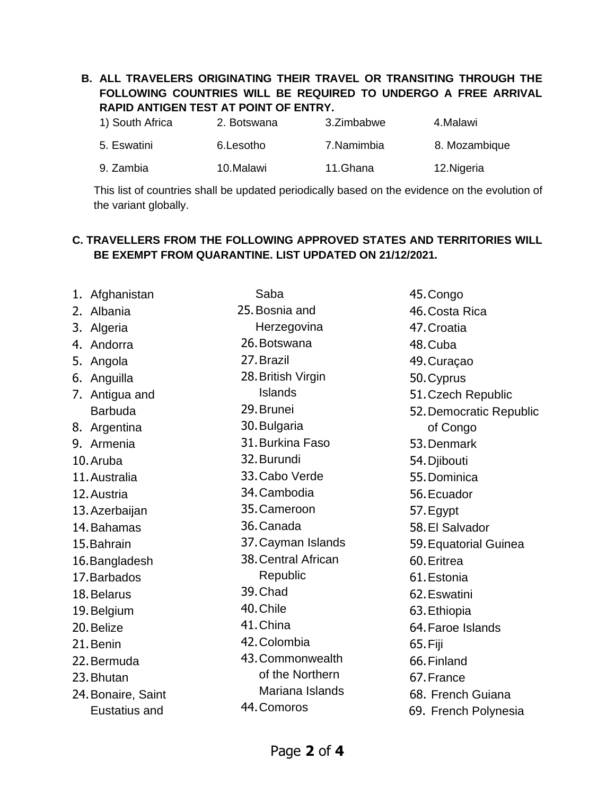## **B. ALL TRAVELERS ORIGINATING THEIR TRAVEL OR TRANSITING THROUGH THE FOLLOWING COUNTRIES WILL BE REQUIRED TO UNDERGO A FREE ARRIVAL RAPID ANTIGEN TEST AT POINT OF ENTRY.**

| 1) South Africa | 2. Botswana | 3.Zimbabwe | 4.Malawi      |
|-----------------|-------------|------------|---------------|
| 5. Eswatini     | 6.Lesotho   | 7.Namimbia | 8. Mozambique |
| 9. Zambia       | 10.Malawi   | 11.Ghana   | 12. Nigeria   |

This list of countries shall be updated periodically based on the evidence on the evolution of the variant globally.

## **C. TRAVELLERS FROM THE FOLLOWING APPROVED STATES AND TERRITORIES WILL BE EXEMPT FROM QUARANTINE. LIST UPDATED ON 21/12/2021.**

| 1. | Afghanistan        | Saba                |
|----|--------------------|---------------------|
| 2. | Albania            | 25. Bosnia and      |
| 3. | Algeria            | Herzegovina         |
| 4. | Andorra            | 26. Botswana        |
| 5. | Angola             | 27. Brazil          |
| 6. | Anguilla           | 28. British Virgin  |
| 7. | Antigua and        | Islands             |
|    | <b>Barbuda</b>     | 29. Brunei          |
| 8. | Argentina          | 30. Bulgaria        |
|    | 9. Armenia         | 31. Burkina Faso    |
|    | 10. Aruba          | 32. Burundi         |
|    | 11. Australia      | 33. Cabo Verde      |
|    | 12. Austria        | 34. Cambodia        |
|    | 13. Azerbaijan     | 35. Cameroon        |
|    | 14. Bahamas        | 36. Canada          |
|    | 15. Bahrain        | 37. Cayman Islands  |
|    | 16. Bangladesh     | 38. Central African |
|    | 17. Barbados       | Republic            |
|    | 18. Belarus        | 39. Chad            |
|    | 19. Belgium        | 40. Chile           |
|    | 20. Belize         | 41. China           |
|    | 21. Benin          | 42. Colombia        |
|    | 22. Bermuda        | 43. Commonwealth    |
|    | 23. Bhutan         | of the Northern     |
|    | 24. Bonaire, Saint | Mariana Islands     |
|    | Eustatius and      | 44. Comoros         |
|    |                    |                     |

45.Congo 46.Costa Rica 47.Croatia 48.Cuba 49.Curaçao 50.Cyprus 51.Czech Republic 52.Democratic Republic of Congo 53.Denmark 54.Djibouti 55.Dominica 56.Ecuador 57.Egypt 58.El Salvador 59.Equatorial Guinea 60.Eritrea 61.Estonia 62.Eswatini 63.Ethiopia 64.Faroe Islands 65.Fiji 66.Finland 67.France 68. French Guiana 69. French Polynesia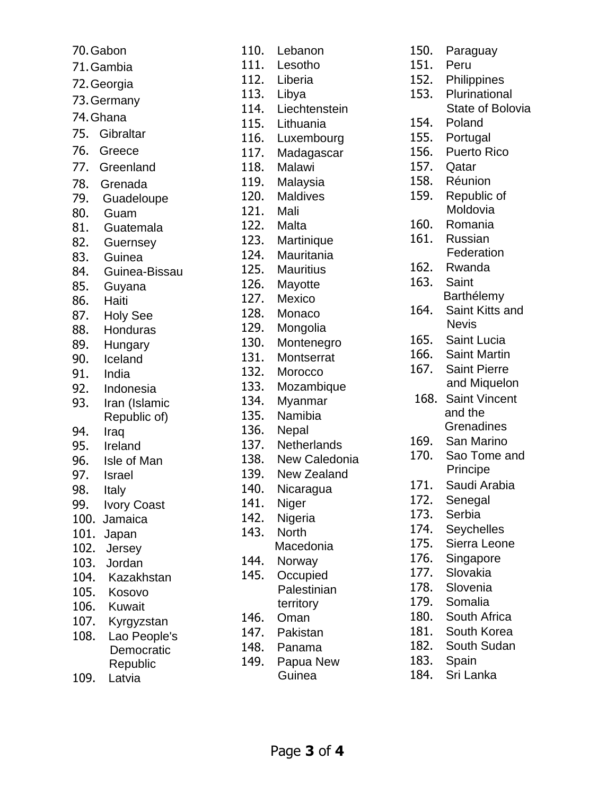| 70. Gabon   |                       |  |  |
|-------------|-----------------------|--|--|
|             | 71. Gambia            |  |  |
| 72. Georgia |                       |  |  |
| 73. Germany |                       |  |  |
| 74. Ghana   |                       |  |  |
| 75.         | Gibraltar             |  |  |
| 76.         | Greece                |  |  |
| 77.         | Greenland             |  |  |
| 78.         |                       |  |  |
| 79.         | Grenada<br>Guadeloupe |  |  |
| 80.         | Guam                  |  |  |
| 81.         | Guatemala             |  |  |
|             | 82. Guernsey          |  |  |
| 83.         | Guinea                |  |  |
|             | 84. Guinea-Bissau     |  |  |
| 85.         | Guyana                |  |  |
|             | 86. Haiti             |  |  |
|             | 87. Holy See          |  |  |
| 88.         | Honduras              |  |  |
| 89.         | Hungary               |  |  |
| 90.         | Iceland               |  |  |
| 91.         | India                 |  |  |
| 92.         | Indonesia             |  |  |
| 93.         | Iran (Islamic         |  |  |
|             | Republic of)          |  |  |
| 94.<br>95.  | Iraq<br>Ireland       |  |  |
| 96.         | Isle of Man           |  |  |
| 97.         | Israel                |  |  |
| 98.         | Italy                 |  |  |
| 99.         | <b>Ivory Coast</b>    |  |  |
| 100.        | Jamaica               |  |  |
| 101.        | Japan                 |  |  |
| 102.        | Jersey                |  |  |
| 103.        | Jordan                |  |  |
| 104.        | Kazakhstan            |  |  |
| 105.        | Kosovo                |  |  |
| 106.        | Kuwait                |  |  |
| 107.        | Kyrgyzstan            |  |  |
| 108.        | Lao People's          |  |  |
|             | Democratic            |  |  |
| 109.        | Republic<br>Latvia    |  |  |
|             |                       |  |  |

| 110. | Lebanon              |
|------|----------------------|
| 111. | Lesotho              |
| 112. | Liberia              |
| 113. | Libya                |
| 114. | Liechtenstein        |
| 115. | Lithuania            |
|      |                      |
| 116. | Luxembourg           |
| 117. | Madagascar<br>Malawi |
| 118. |                      |
| 119. | Malaysia             |
| 120. | Maldives             |
| 121. | Mali                 |
| 122. | Malta                |
| 123. | Martinique           |
| 124. | Mauritania           |
| 125. | Mauritius            |
| 126. | Mayotte              |
| 127. | Mexico               |
| 128. | Monaco               |
| 129. | Mongolia             |
| 130. | Montenegro           |
| 131. | <b>Montserrat</b>    |
| 132. | Morocco              |
| 133. | Mozambique           |
| 134. | Myanmar              |
| 135. | Namibia              |
| 136. | Nepal                |
| 137. | Netherlands          |
| 138. | New Caledonia        |
| 139. | <b>New Zealand</b>   |
| 140. | Nicaragua            |
| 141. | Niger                |
| 142. | Nigeria              |
| 143. | <b>North</b>         |
|      | Macedonia            |
| 144. |                      |
| 145. | Norway               |
|      | Occupied             |
|      | Palestinian          |
|      | territory            |
| 146. | Oman                 |
| 147. | Pakistan             |
| 148. | Panama               |
| 149. | Papua New            |
|      | Guinea               |

| 150. | Paraguay                        |
|------|---------------------------------|
| 151. | Peru                            |
| 152. | Philippines                     |
| 153. | Plurinational                   |
|      | <b>State of Bolovia</b>         |
| 154. | Poland                          |
| 155. | Portugal                        |
| 156. | <b>Puerto Rico</b>              |
| 157. | Qatar                           |
| 158. | Réunion                         |
| 159. | Republic of                     |
|      | Moldovia                        |
| 160. | Romania                         |
| 161. | Russian                         |
|      | Federation                      |
| 162. | Rwanda                          |
| 163. | Saint                           |
|      |                                 |
|      | Barthélemy                      |
| 164. | Saint Kitts and<br><b>Nevis</b> |
|      |                                 |
| 165. | <b>Saint Lucia</b>              |
| 166. | <b>Saint Martin</b>             |
| 167. | <b>Saint Pierre</b>             |
|      | and Miquelon                    |
| 168. | <b>Saint Vincent</b>            |
|      | and the                         |
|      | Grenadines                      |
| 169. | San Marino                      |
| 170. | Sao Tome and                    |
|      | Principe                        |
| 171. | Saudi Arabia                    |
| 172. | Senegal                         |
| 173. | Serbia                          |
| 174. | Seychelles                      |
| 175. | Sierra Leone                    |
| 176. | Singapore                       |
| 177. | Slovakia                        |
| 178. | Slovenia                        |
| 179. | Somalia                         |
| 180. | South Africa                    |
| 181. | South Korea                     |
| 182. | South Sudan                     |
| 183. | Spain                           |
| 184. | Sri Lanka                       |
|      |                                 |